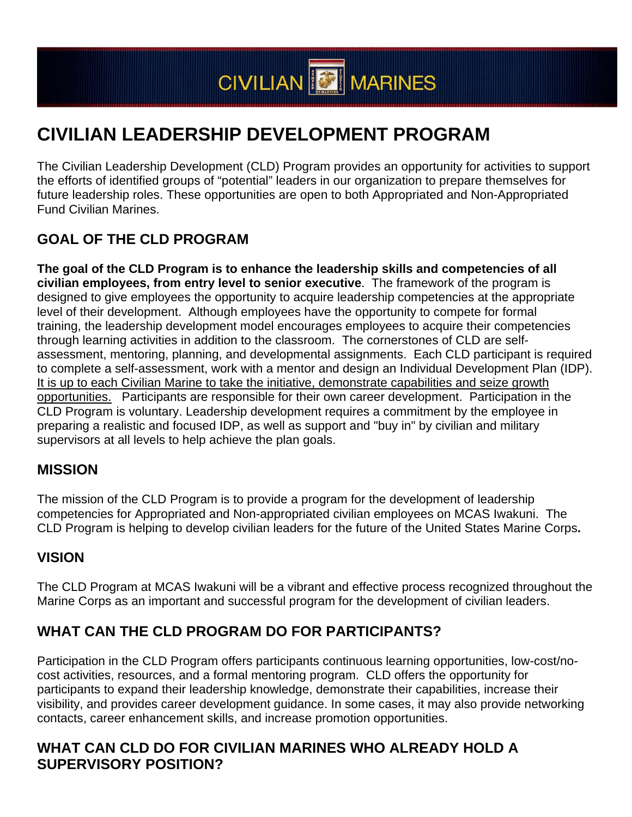# **CIVILIAN TET MARINES**

# **CIVILIAN LEADERSHIP DEVELOPMENT PROGRAM**

The Civilian Leadership Development (CLD) Program provides an opportunity for activities to support the efforts of identified groups of "potential" leaders in our organization to prepare themselves for future leadership roles. These opportunities are open to both Appropriated and Non-Appropriated Fund Civilian Marines.

## **GOAL OF THE CLD PROGRAM**

**The goal of the CLD Program is to enhance the leadership skills and competencies of all civilian employees, from entry level to senior executive**. The framework of the program is designed to give employees the opportunity to acquire leadership competencies at the appropriate level of their development. Although employees have the opportunity to compete for formal training, the leadership development model encourages employees to acquire their competencies through learning activities in addition to the classroom. The cornerstones of CLD are selfassessment, mentoring, planning, and developmental assignments. Each CLD participant is required to complete a self-assessment, work with a mentor and design an Individual Development Plan (IDP). It is up to each Civilian Marine to take the initiative, demonstrate capabilities and seize growth opportunities. Participants are responsible for their own career development. Participation in the CLD Program is voluntary. Leadership development requires a commitment by the employee in preparing a realistic and focused IDP, as well as support and "buy in" by civilian and military supervisors at all levels to help achieve the plan goals.

## **MISSION**

The mission of the CLD Program is to provide a program for the development of leadership competencies for Appropriated and Non-appropriated civilian employees on MCAS Iwakuni. The CLD Program is helping to develop civilian leaders for the future of the United States Marine Corps**.** 

## **VISION**

The CLD Program at MCAS Iwakuni will be a vibrant and effective process recognized throughout the Marine Corps as an important and successful program for the development of civilian leaders.

## **WHAT CAN THE CLD PROGRAM DO FOR PARTICIPANTS?**

Participation in the CLD Program offers participants continuous learning opportunities, low-cost/nocost activities, resources, and a formal mentoring program. CLD offers the opportunity for participants to expand their leadership knowledge, demonstrate their capabilities, increase their visibility, and provides career development guidance. In some cases, it may also provide networking contacts, career enhancement skills, and increase promotion opportunities.

## **WHAT CAN CLD DO FOR CIVILIAN MARINES WHO ALREADY HOLD A SUPERVISORY POSITION?**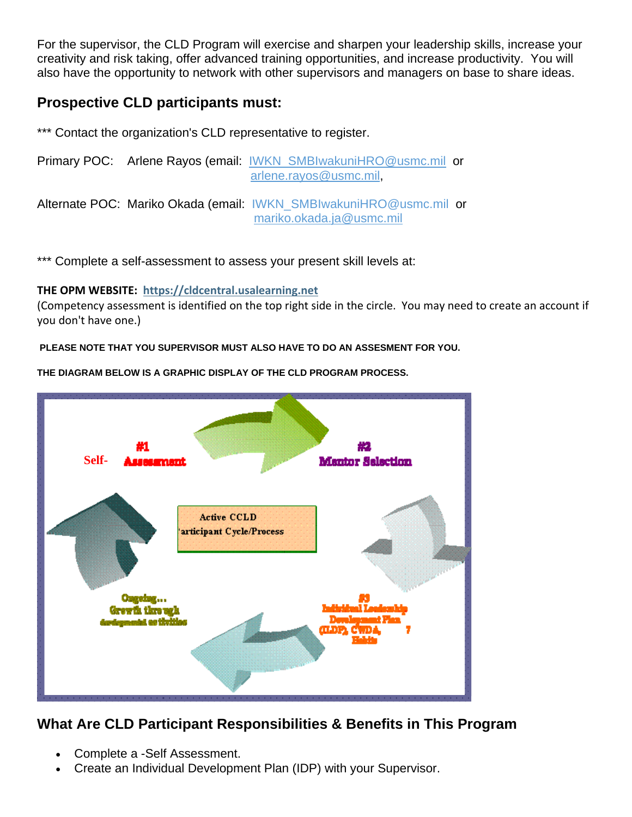For the supervisor, the CLD Program will exercise and sharpen your leadership skills, increase your creativity and risk taking, offer advanced training opportunities, and increase productivity. You will also have the opportunity to network with other supervisors and managers on base to share ideas.

## **Prospective CLD participants must:**

\*\*\* Contact the organization's CLD representative to register.

Primary POC: Arlene Rayos (email: *IWKN\_SMBIwakuniHRO@usmc.mil or* arlene.rayos@usmc.mil,

Alternate POC: Mariko Okada (email: IWKN\_SMBIwakuniHRO@usmc.mil or mariko.okada.ja@usmc.mil

\*\*\* Complete a self-assessment to assess your present skill levels at:

#### **THE OPM WEBSITE: https://cldcentral.usalearning.net**

(Competency assessment is identified on the top right side in the circle. You may need to create an account if you don't have one.)

 **PLEASE NOTE THAT YOU SUPERVISOR MUST ALSO HAVE TO DO AN ASSESMENT FOR YOU.** 

**THE DIAGRAM BELOW IS A GRAPHIC DISPLAY OF THE CLD PROGRAM PROCESS.** 



**What Are CLD Participant Responsibilities & Benefits in This Program** 

- Complete a -Self Assessment.
- Create an Individual Development Plan (IDP) with your Supervisor.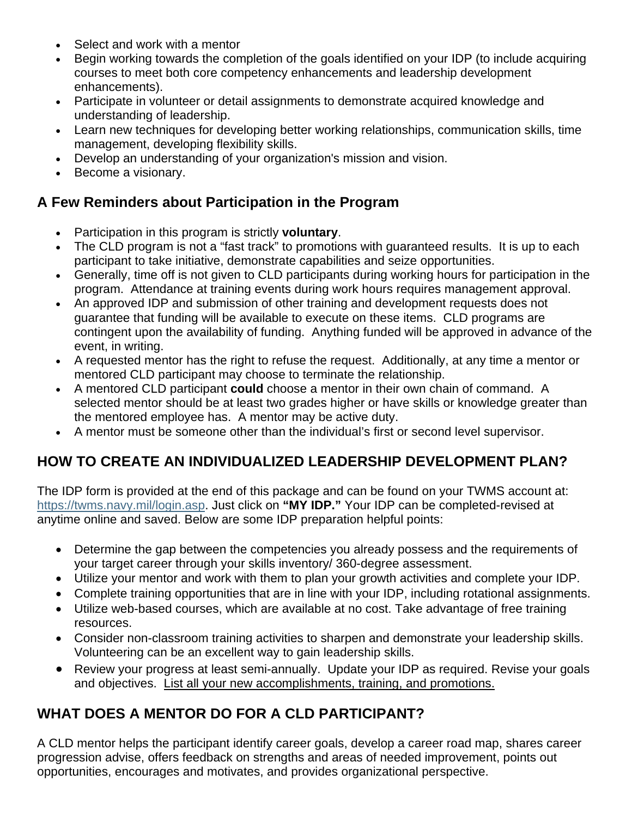- Select and work with a mentor
- Begin working towards the completion of the goals identified on your IDP (to include acquiring courses to meet both core competency enhancements and leadership development enhancements).
- Participate in volunteer or detail assignments to demonstrate acquired knowledge and understanding of leadership.
- Learn new techniques for developing better working relationships, communication skills, time management, developing flexibility skills.
- Develop an understanding of your organization's mission and vision.
- Become a visionary.

## **A Few Reminders about Participation in the Program**

- Participation in this program is strictly **voluntary**.
- The CLD program is not a "fast track" to promotions with guaranteed results. It is up to each participant to take initiative, demonstrate capabilities and seize opportunities.
- Generally, time off is not given to CLD participants during working hours for participation in the program. Attendance at training events during work hours requires management approval.
- An approved IDP and submission of other training and development requests does not guarantee that funding will be available to execute on these items. CLD programs are contingent upon the availability of funding. Anything funded will be approved in advance of the event, in writing.
- A requested mentor has the right to refuse the request. Additionally, at any time a mentor or mentored CLD participant may choose to terminate the relationship.
- A mentored CLD participant **could** choose a mentor in their own chain of command. A selected mentor should be at least two grades higher or have skills or knowledge greater than the mentored employee has. A mentor may be active duty.
- A mentor must be someone other than the individual's first or second level supervisor.

## **HOW TO CREATE AN INDIVIDUALIZED LEADERSHIP DEVELOPMENT PLAN?**

The IDP form is provided at the end of this package and can be found on your TWMS account at: https://twms.navy.mil/login.asp. Just click on **"MY IDP."** Your IDP can be completed-revised at anytime online and saved. Below are some IDP preparation helpful points:

- Determine the gap between the competencies you already possess and the requirements of your target career through your skills inventory/ 360-degree assessment.
- Utilize your mentor and work with them to plan your growth activities and complete your IDP.
- Complete training opportunities that are in line with your IDP, including rotational assignments.
- Utilize web-based courses, which are available at no cost. Take advantage of free training resources.
- Consider non-classroom training activities to sharpen and demonstrate your leadership skills. Volunteering can be an excellent way to gain leadership skills.
- Review your progress at least semi-annually. Update your IDP as required. Revise your goals and objectives. List all your new accomplishments, training, and promotions.

## **WHAT DOES A MENTOR DO FOR A CLD PARTICIPANT?**

A CLD mentor helps the participant identify career goals, develop a career road map, shares career progression advise, offers feedback on strengths and areas of needed improvement, points out opportunities, encourages and motivates, and provides organizational perspective.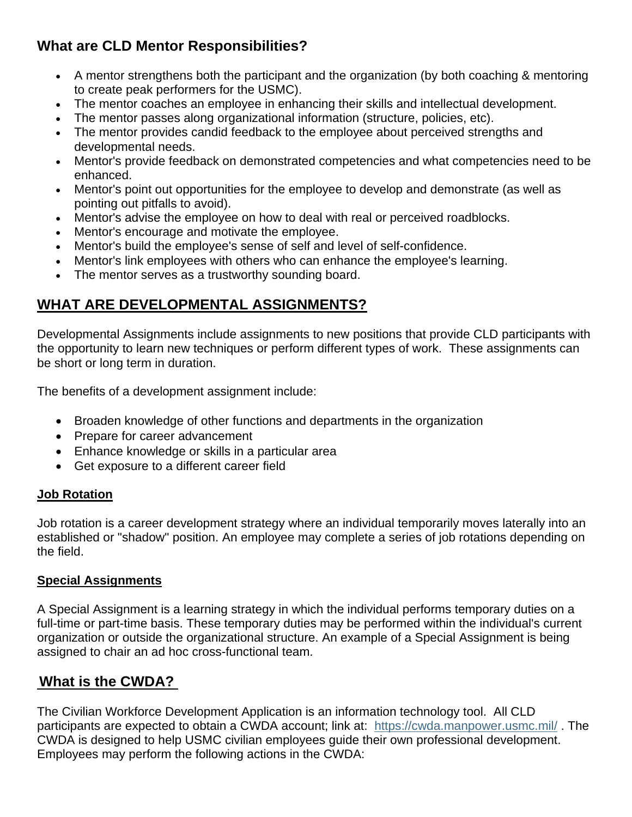## **What are CLD Mentor Responsibilities?**

- A mentor strengthens both the participant and the organization (by both coaching & mentoring to create peak performers for the USMC).
- The mentor coaches an employee in enhancing their skills and intellectual development.
- The mentor passes along organizational information (structure, policies, etc).
- The mentor provides candid feedback to the employee about perceived strengths and developmental needs.
- Mentor's provide feedback on demonstrated competencies and what competencies need to be enhanced.
- Mentor's point out opportunities for the employee to develop and demonstrate (as well as pointing out pitfalls to avoid).
- Mentor's advise the employee on how to deal with real or perceived roadblocks.
- Mentor's encourage and motivate the employee.
- Mentor's build the employee's sense of self and level of self-confidence.
- Mentor's link employees with others who can enhance the employee's learning.
- The mentor serves as a trustworthy sounding board.

## **WHAT ARE DEVELOPMENTAL ASSIGNMENTS?**

Developmental Assignments include assignments to new positions that provide CLD participants with the opportunity to learn new techniques or perform different types of work. These assignments can be short or long term in duration.

The benefits of a development assignment include:

- Broaden knowledge of other functions and departments in the organization
- Prepare for career advancement
- Enhance knowledge or skills in a particular area
- Get exposure to a different career field

#### **Job Rotation**

Job rotation is a career development strategy where an individual temporarily moves laterally into an established or "shadow" position. An employee may complete a series of job rotations depending on the field.

#### **Special Assignments**

A Special Assignment is a learning strategy in which the individual performs temporary duties on a full-time or part-time basis. These temporary duties may be performed within the individual's current organization or outside the organizational structure. An example of a Special Assignment is being assigned to chair an ad hoc cross-functional team.

## **What is the CWDA?**

The Civilian Workforce Development Application is an information technology tool. All CLD participants are expected to obtain a CWDA account; link at: https://cwda.manpower.usmc.mil/ . The CWDA is designed to help USMC civilian employees guide their own professional development. Employees may perform the following actions in the CWDA: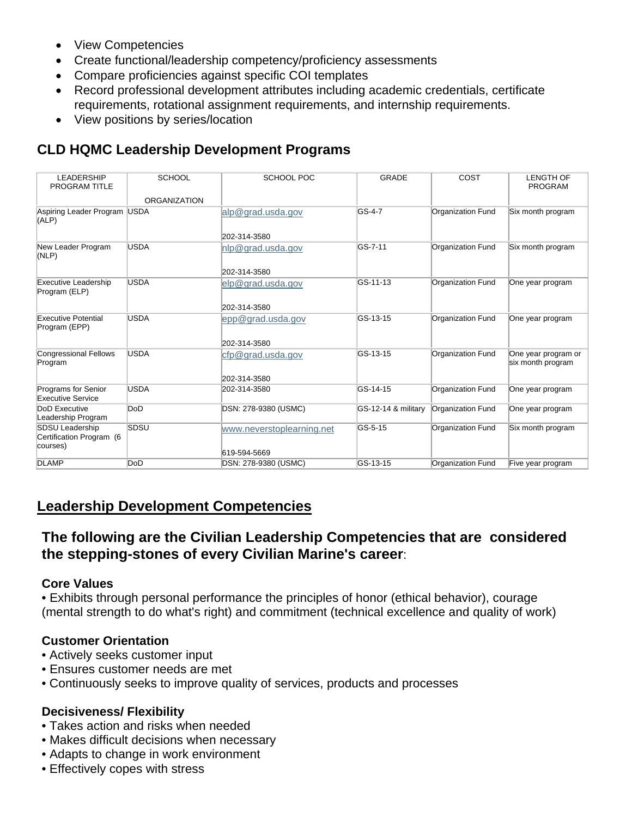- View Competencies
- Create functional/leadership competency/proficiency assessments
- Compare proficiencies against specific COI templates
- Record professional development attributes including academic credentials, certificate requirements, rotational assignment requirements, and internship requirements.
- View positions by series/location

## **CLD HQMC Leadership Development Programs**

| <b>LEADERSHIP</b><br><b>PROGRAM TITLE</b>                      | <b>SCHOOL</b>       | <b>SCHOOL POC</b>                         | <b>GRADE</b>        | COST              | <b>LENGTH OF</b><br><b>PROGRAM</b>       |
|----------------------------------------------------------------|---------------------|-------------------------------------------|---------------------|-------------------|------------------------------------------|
|                                                                | <b>ORGANIZATION</b> |                                           |                     |                   |                                          |
| Aspiring Leader Program USDA<br>(ALP)                          |                     | alp@grad.usda.gov                         | $GS-4-7$            | Organization Fund | Six month program                        |
|                                                                |                     | 202-314-3580                              |                     |                   |                                          |
| New Leader Program<br>(NLP)                                    | <b>USDA</b>         | nlp@grad.usda.gov                         | GS-7-11             | Organization Fund | Six month program                        |
|                                                                |                     | 202-314-3580                              |                     |                   |                                          |
| <b>Executive Leadership</b><br>Program (ELP)                   | <b>USDA</b>         | $e$ lp @ grad.usda.gov                    | GS-11-13            | Organization Fund | One year program                         |
|                                                                |                     | 202-314-3580                              |                     |                   |                                          |
| <b>Executive Potential</b><br>Program (EPP)                    | <b>USDA</b>         | lepp@grad.usda.gov                        | GS-13-15            | Organization Fund | One year program                         |
|                                                                |                     | 202-314-3580                              |                     |                   |                                          |
| <b>Congressional Fellows</b><br>Program                        | <b>USDA</b>         | cfp@grad.usda.gov                         | GS-13-15            | Organization Fund | One year program or<br>six month program |
|                                                                |                     | 202-314-3580                              |                     |                   |                                          |
| Programs for Senior<br><b>Executive Service</b>                | <b>USDA</b>         | 202-314-3580                              | GS-14-15            | Organization Fund | One year program                         |
| DoD Executive<br>Leadership Program                            | DoD                 | DSN: 278-9380 (USMC)                      | GS-12-14 & military | Organization Fund | One year program                         |
| <b>SDSU Leadership</b><br>Certification Program (6<br>courses) | SDSU                | www.neverstoplearning.net<br>619-594-5669 | GS-5-15             | Organization Fund | Six month program                        |
| <b>DLAMP</b>                                                   | DoD                 | DSN: 278-9380 (USMC)                      | GS-13-15            | Organization Fund | Five year program                        |

## **Leadership Development Competencies**

## **The following are the Civilian Leadership Competencies that are considered the stepping-stones of every Civilian Marine's career**:

#### **Core Values**

• Exhibits through personal performance the principles of honor (ethical behavior), courage (mental strength to do what's right) and commitment (technical excellence and quality of work)

#### **Customer Orientation**

- Actively seeks customer input
- Ensures customer needs are met
- Continuously seeks to improve quality of services, products and processes

#### **Decisiveness/ Flexibility**

- Takes action and risks when needed
- Makes difficult decisions when necessary
- Adapts to change in work environment
- Effectively copes with stress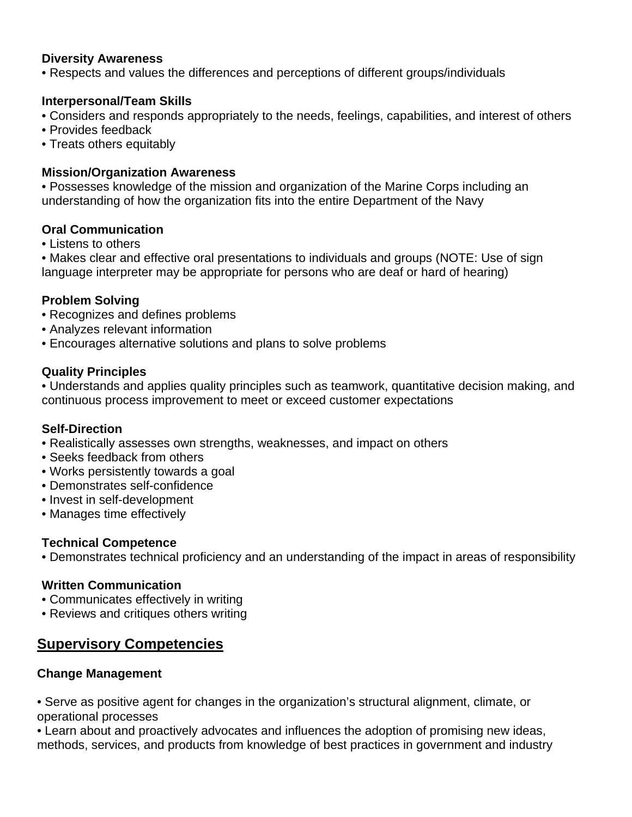#### **Diversity Awareness**

• Respects and values the differences and perceptions of different groups/individuals

#### **Interpersonal/Team Skills**

- Considers and responds appropriately to the needs, feelings, capabilities, and interest of others
- Provides feedback
- Treats others equitably

#### **Mission/Organization Awareness**

• Possesses knowledge of the mission and organization of the Marine Corps including an understanding of how the organization fits into the entire Department of the Navy

#### **Oral Communication**

• Listens to others

• Makes clear and effective oral presentations to individuals and groups (NOTE: Use of sign language interpreter may be appropriate for persons who are deaf or hard of hearing)

#### **Problem Solving**

- Recognizes and defines problems
- Analyzes relevant information
- Encourages alternative solutions and plans to solve problems

#### **Quality Principles**

• Understands and applies quality principles such as teamwork, quantitative decision making, and continuous process improvement to meet or exceed customer expectations

#### **Self-Direction**

- Realistically assesses own strengths, weaknesses, and impact on others
- Seeks feedback from others
- Works persistently towards a goal
- Demonstrates self-confidence
- Invest in self-development
- Manages time effectively

#### **Technical Competence**

• Demonstrates technical proficiency and an understanding of the impact in areas of responsibility

#### **Written Communication**

- Communicates effectively in writing
- Reviews and critiques others writing

## **Supervisory Competencies**

#### **Change Management**

• Serve as positive agent for changes in the organization's structural alignment, climate, or operational processes

• Learn about and proactively advocates and influences the adoption of promising new ideas, methods, services, and products from knowledge of best practices in government and industry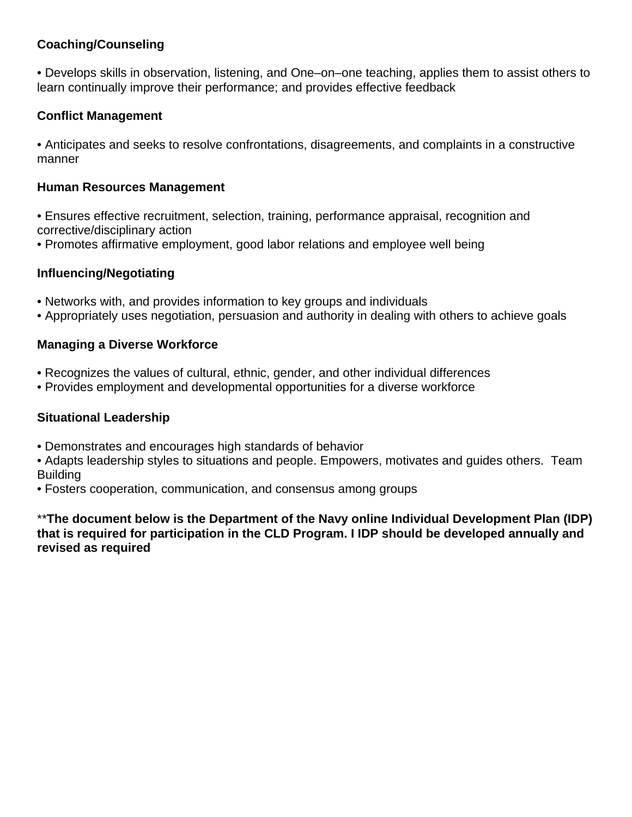#### **Coaching/Counseling**

• Develops skills in observation, listening, and One–on–one teaching, applies them to assist others to learn continually improve their performance; and provides effective feedback

#### **Conflict Management**

• Anticipates and seeks to resolve confrontations, disagreements, and complaints in a constructive manner

#### **Human Resources Management**

• Ensures effective recruitment, selection, training, performance appraisal, recognition and corrective/disciplinary action

• Promotes affirmative employment, good labor relations and employee well being

#### **Influencing/Negotiating**

- Networks with, and provides information to key groups and individuals
- Appropriately uses negotiation, persuasion and authority in dealing with others to achieve goals

#### **Managing a Diverse Workforce**

- Recognizes the values of cultural, ethnic, gender, and other individual differences
- Provides employment and developmental opportunities for a diverse workforce

#### **Situational Leadership**

• Demonstrates and encourages high standards of behavior

• Adapts leadership styles to situations and people. Empowers, motivates and guides others. Team **Building** 

• Fosters cooperation, communication, and consensus among groups

\*\***The document below is the Department of the Navy online Individual Development Plan (IDP) that is required for participation in the CLD Program. I IDP should be developed annually and revised as required**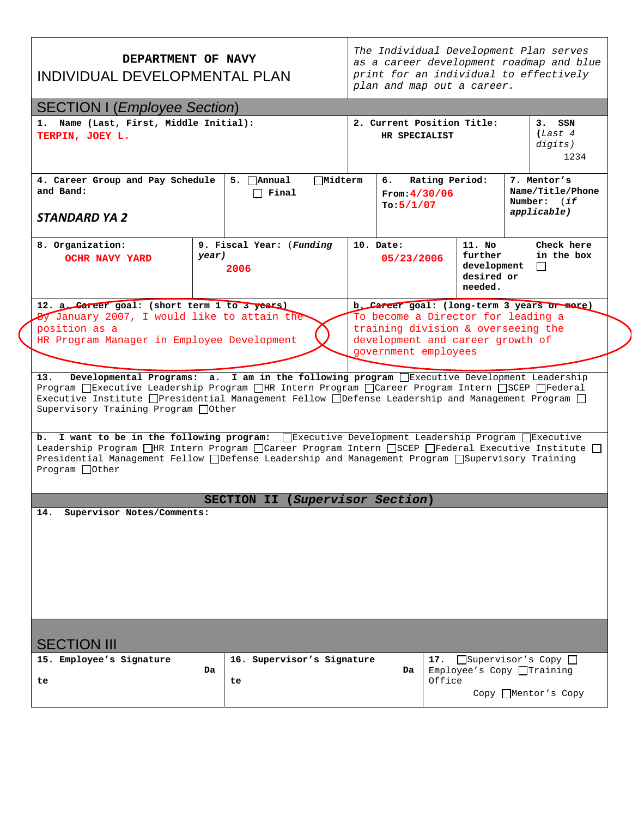| DEPARTMENT OF NAVY<br>INDIVIDUAL DEVELOPMENTAL PLAN                                                                                                                                                                                                                                                                                                                                                                                                                                                                                                      |                                             |                                                     | The Individual Development Plan serves<br>as a career development roadmap and blue<br>print for an individual to effectively<br>plan and map out a career. |                         |        |                                                                       |                                         |                                                           |
|----------------------------------------------------------------------------------------------------------------------------------------------------------------------------------------------------------------------------------------------------------------------------------------------------------------------------------------------------------------------------------------------------------------------------------------------------------------------------------------------------------------------------------------------------------|---------------------------------------------|-----------------------------------------------------|------------------------------------------------------------------------------------------------------------------------------------------------------------|-------------------------|--------|-----------------------------------------------------------------------|-----------------------------------------|-----------------------------------------------------------|
| <b>SECTION I (Employee Section)</b>                                                                                                                                                                                                                                                                                                                                                                                                                                                                                                                      |                                             |                                                     |                                                                                                                                                            |                         |        |                                                                       |                                         |                                                           |
| 1. Name (Last, First, Middle Initial):<br>TERPIN, JOEY L.                                                                                                                                                                                                                                                                                                                                                                                                                                                                                                |                                             |                                                     | 2. Current Position Title:<br>HR SPECIALIST                                                                                                                |                         |        |                                                                       | $3.$ SSN<br>(Last 4)<br>digits)<br>1234 |                                                           |
| 4. Career Group and Pay Schedule<br>and Band:<br><b>STANDARD YA 2</b>                                                                                                                                                                                                                                                                                                                                                                                                                                                                                    | <b>Nidterm</b><br>$5. \Box$ Annual<br>Final | 6.<br>Rating Period:<br>From: 4/30/06<br>To: 5/1/07 |                                                                                                                                                            |                         |        | 7. Mentor's<br>Name/Title/Phone<br>Number: ( <i>if</i><br>applicable) |                                         |                                                           |
| 8. Organization:<br><b>OCHR NAVY YARD</b>                                                                                                                                                                                                                                                                                                                                                                                                                                                                                                                | year)                                       | 9. Fiscal Year: (Funding<br>2006                    |                                                                                                                                                            | 10. Date:<br>05/23/2006 |        | 11. No<br>further<br>development<br>desired or<br>needed.             |                                         | Check here<br>in the box                                  |
| 12. a. Career goal: (short term 1 to 3 years)                                                                                                                                                                                                                                                                                                                                                                                                                                                                                                            |                                             |                                                     |                                                                                                                                                            |                         |        |                                                                       |                                         | b. Career goal: (long-term 3 years or more)               |
| By January 2007, I would like to attain the<br>To become a Director for leading a<br>position as a<br>training division & overseeing the<br>development and career growth of<br>HR Program Manager in Employee Development<br>government employees                                                                                                                                                                                                                                                                                                       |                                             |                                                     |                                                                                                                                                            |                         |        |                                                                       |                                         |                                                           |
| Developmental Programs: a. I am in the following program Executive Development Leadership<br>13.<br>Program IExecutive Leadership Program IHR Intern Program Icareer Program Intern ISCEP IFederal<br>Executive Institute <i>Presidential Management Fellow Defense Leadership and Management Program</i> D<br>Supervisory Training Program □ Other<br>b. I want to be in the following program: Executive Development Leadership Program Executive<br>Leadership Program IHR Intern Program Icareer Program Intern ISCEP IFederal Executive Institute I |                                             |                                                     |                                                                                                                                                            |                         |        |                                                                       |                                         |                                                           |
| Presidential Management Fellow Defense Leadership and Management Program OSupervisory Training<br>$Program$ Other                                                                                                                                                                                                                                                                                                                                                                                                                                        |                                             |                                                     |                                                                                                                                                            |                         |        |                                                                       |                                         |                                                           |
| 14.<br>Supervisor Notes/Comments:                                                                                                                                                                                                                                                                                                                                                                                                                                                                                                                        |                                             | SECTION II (Supervisor Section)                     |                                                                                                                                                            |                         |        |                                                                       |                                         |                                                           |
| <b>SECTION III</b>                                                                                                                                                                                                                                                                                                                                                                                                                                                                                                                                       |                                             |                                                     |                                                                                                                                                            |                         |        |                                                                       |                                         |                                                           |
| 15. Employee's Signature<br>te                                                                                                                                                                                                                                                                                                                                                                                                                                                                                                                           | Da                                          | 16. Supervisor's Signature<br>te                    |                                                                                                                                                            | Da                      | Office | Employee's Copy □ Training                                            |                                         | 17. $\Box$ Supervisor's Copy $\Box$<br>Copy Mentor's Copy |

 $\bigg)$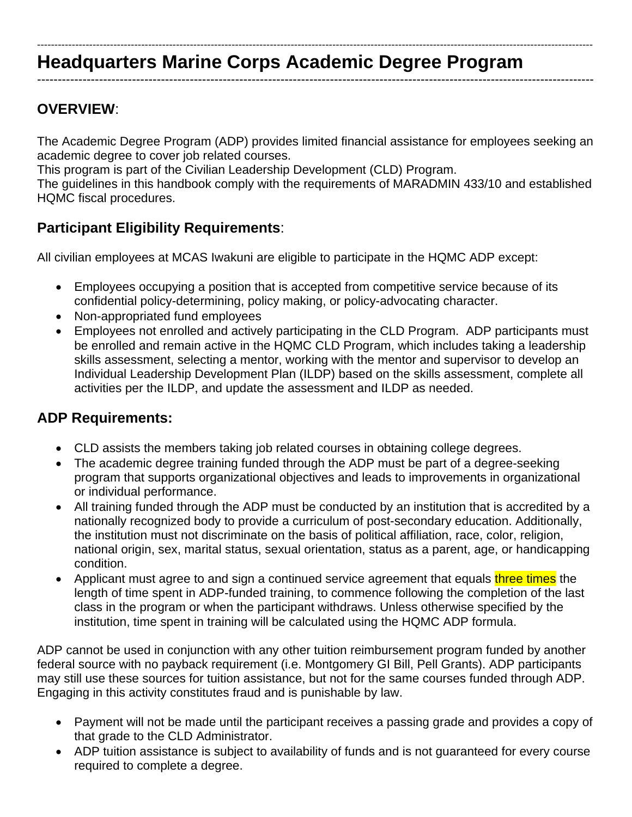## **Headquarters Marine Corps Academic Degree Program**

## **OVERVIEW**:

The Academic Degree Program (ADP) provides limited financial assistance for employees seeking an academic degree to cover job related courses.

‐‐‐‐‐‐‐‐‐‐‐‐‐‐‐‐‐‐‐‐‐‐‐‐‐‐‐‐‐‐‐‐‐‐‐‐‐‐‐‐‐‐‐‐‐‐‐‐‐‐‐‐‐‐‐‐‐‐‐‐‐‐‐‐‐‐‐‐‐‐‐‐‐‐‐‐‐‐‐‐‐‐‐‐‐‐‐‐‐‐‐‐‐‐‐‐‐‐‐‐‐‐‐‐‐‐‐‐‐‐‐‐‐‐‐‐‐‐‐‐‐‐‐‐‐‐‐‐‐‐‐‐‐‐‐‐‐‐‐‐‐‐‐‐‐‐‐‐‐‐‐‐‐‐‐‐‐‐‐‐

---------------------------------------------------------------------------------------------------------------------------------------

This program is part of the Civilian Leadership Development (CLD) Program.

The guidelines in this handbook comply with the requirements of MARADMIN 433/10 and established HQMC fiscal procedures.

## **Participant Eligibility Requirements**:

All civilian employees at MCAS Iwakuni are eligible to participate in the HQMC ADP except:

- Employees occupying a position that is accepted from competitive service because of its confidential policy-determining, policy making, or policy-advocating character.
- Non-appropriated fund employees
- Employees not enrolled and actively participating in the CLD Program. ADP participants must be enrolled and remain active in the HQMC CLD Program, which includes taking a leadership skills assessment, selecting a mentor, working with the mentor and supervisor to develop an Individual Leadership Development Plan (ILDP) based on the skills assessment, complete all activities per the ILDP, and update the assessment and ILDP as needed.

## **ADP Requirements:**

- CLD assists the members taking job related courses in obtaining college degrees.
- The academic degree training funded through the ADP must be part of a degree-seeking program that supports organizational objectives and leads to improvements in organizational or individual performance.
- All training funded through the ADP must be conducted by an institution that is accredited by a nationally recognized body to provide a curriculum of post-secondary education. Additionally, the institution must not discriminate on the basis of political affiliation, race, color, religion, national origin, sex, marital status, sexual orientation, status as a parent, age, or handicapping condition.
- Applicant must agree to and sign a continued service agreement that equals three times the length of time spent in ADP-funded training, to commence following the completion of the last class in the program or when the participant withdraws. Unless otherwise specified by the institution, time spent in training will be calculated using the HQMC ADP formula.

ADP cannot be used in conjunction with any other tuition reimbursement program funded by another federal source with no payback requirement (i.e. Montgomery GI Bill, Pell Grants). ADP participants may still use these sources for tuition assistance, but not for the same courses funded through ADP. Engaging in this activity constitutes fraud and is punishable by law.

- Payment will not be made until the participant receives a passing grade and provides a copy of that grade to the CLD Administrator.
- ADP tuition assistance is subject to availability of funds and is not guaranteed for every course required to complete a degree.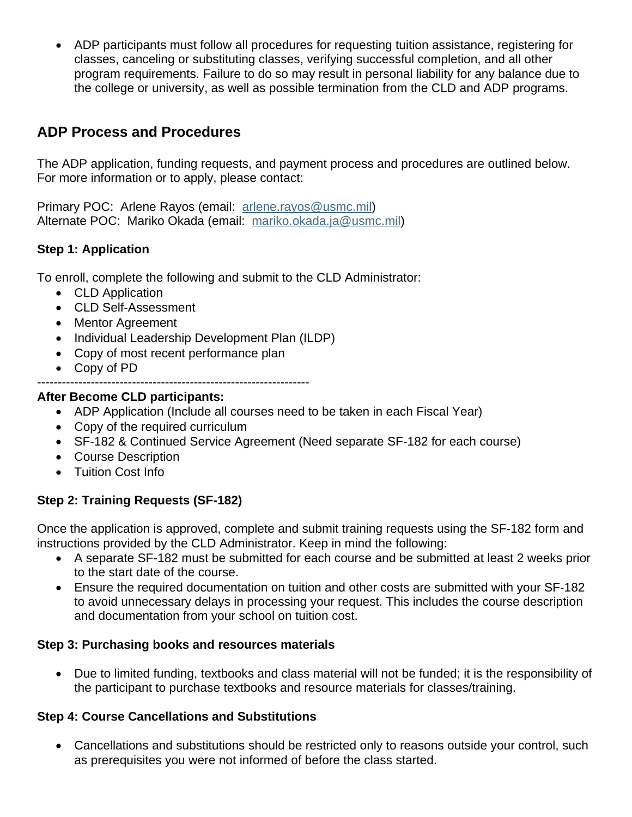ADP participants must follow all procedures for requesting tuition assistance, registering for classes, canceling or substituting classes, verifying successful completion, and all other program requirements. Failure to do so may result in personal liability for any balance due to the college or university, as well as possible termination from the CLD and ADP programs.

## **ADP Process and Procedures**

The ADP application, funding requests, and payment process and procedures are outlined below. For more information or to apply, please contact:

Primary POC: Arlene Rayos (email: arlene.rayos@usmc.mil) Alternate POC: Mariko Okada (email: mariko.okada.ja@usmc.mil)

#### **Step 1: Application**

To enroll, complete the following and submit to the CLD Administrator:

- CLD Application
- CLD Self-Assessment
- Mentor Agreement
- Individual Leadership Development Plan (ILDP)
- Copy of most recent performance plan
- Copy of PD

------------------------------------------------------------------

#### **After Become CLD participants:**

- ADP Application (Include all courses need to be taken in each Fiscal Year)
- Copy of the required curriculum
- SF-182 & Continued Service Agreement (Need separate SF-182 for each course)
- Course Description
- Tuition Cost Info

#### **Step 2: Training Requests (SF-182)**

Once the application is approved, complete and submit training requests using the SF-182 form and instructions provided by the CLD Administrator. Keep in mind the following:

- A separate SF-182 must be submitted for each course and be submitted at least 2 weeks prior to the start date of the course.
- Ensure the required documentation on tuition and other costs are submitted with your SF-182 to avoid unnecessary delays in processing your request. This includes the course description and documentation from your school on tuition cost.

#### **Step 3: Purchasing books and resources materials**

 Due to limited funding, textbooks and class material will not be funded; it is the responsibility of the participant to purchase textbooks and resource materials for classes/training.

#### **Step 4: Course Cancellations and Substitutions**

 Cancellations and substitutions should be restricted only to reasons outside your control, such as prerequisites you were not informed of before the class started.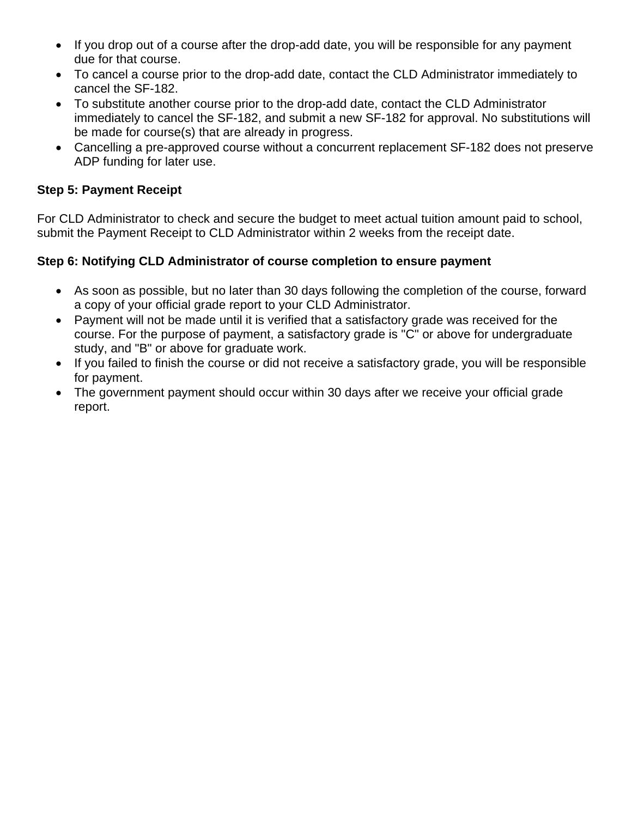- If you drop out of a course after the drop-add date, you will be responsible for any payment due for that course.
- To cancel a course prior to the drop-add date, contact the CLD Administrator immediately to cancel the SF-182.
- To substitute another course prior to the drop-add date, contact the CLD Administrator immediately to cancel the SF-182, and submit a new SF-182 for approval. No substitutions will be made for course(s) that are already in progress.
- Cancelling a pre-approved course without a concurrent replacement SF-182 does not preserve ADP funding for later use.

#### **Step 5: Payment Receipt**

For CLD Administrator to check and secure the budget to meet actual tuition amount paid to school, submit the Payment Receipt to CLD Administrator within 2 weeks from the receipt date.

#### **Step 6: Notifying CLD Administrator of course completion to ensure payment**

- As soon as possible, but no later than 30 days following the completion of the course, forward a copy of your official grade report to your CLD Administrator.
- Payment will not be made until it is verified that a satisfactory grade was received for the course. For the purpose of payment, a satisfactory grade is "C" or above for undergraduate study, and "B" or above for graduate work.
- If you failed to finish the course or did not receive a satisfactory grade, you will be responsible for payment.
- The government payment should occur within 30 days after we receive your official grade report.